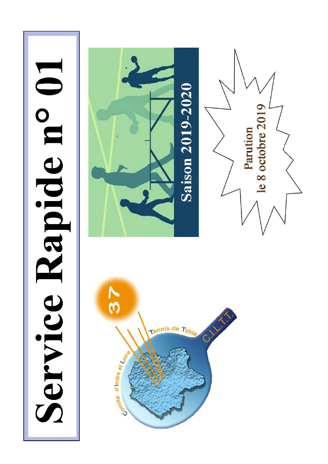# Service Rapide n° 01

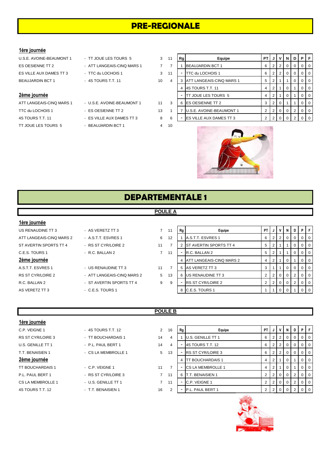# **PRE-REGIONALE**

### **1ère journée**

- ATT LANGEAIS-CINQ MARS 1 U.S.E. AVOINE-BEAUMONT 1 11 TTC du LOCHOIS 1 - ES OESIENNE TT 2 13 4S TOURS T.T. 11 - ES VILLE AUX DAMES TT 3 8 TT JOUE LES TOURS 5 - BEAUJARDIN BCT 1 4 10
- U.S.E. AVOINE-BEAUMONT 1 TT JOUE LES TOURS 5 3
	- -
	-
	-
	-
	-

| U.S.E. AVOINE-BEAUMONT 1 | - TT JOUE LES TOURS 5      | 3  | 11 | Rg | Equipe                          | PT I |   |     | JIVINI   | D I | PF         |                |
|--------------------------|----------------------------|----|----|----|---------------------------------|------|---|-----|----------|-----|------------|----------------|
| ES OESIENNE TT 2         | - ATT LANGEAIS-CINQ MARS 1 |    |    |    | BEAUJARDIN BCT 1                | 6    |   |     | 0        | 0   |            | $01$ 0         |
| ES VILLE AUX DAMES TT 3  | - TTC du LOCHOIS 1         | 3  | 11 |    | TTC du LOCHOIS 1                | 6    | 2 | - 2 | $\Omega$ | 0   |            | $01$ 0         |
| BEAUJARDIN BCT 1         | $-4$ S TOURS T.T. 11       | 10 |    |    | <b>ATT LANGEAIS-CINQ MARS 1</b> | 5 1  |   |     |          | 0   |            | $01$ 0         |
|                          |                            |    |    |    | 4S TOURS T.T. 11                | 4    |   |     |          |     |            | $01$ 0         |
| 2ème journée             |                            |    |    |    | <b>ITT JOUE LES TOURS 5</b>     | 4    |   |     |          |     |            | $\overline{0}$ |
| ATT LANGEAIS-CINQ MARS 1 | - U.S.E. AVOINE-BEAUMONT 1 | 11 | 3  |    | 6 ES OESIENNE TT 2              | 3    |   |     |          |     | $^{\circ}$ | $\Omega$       |
| TTC du LOCHOIS 1         | - ES OESIENNE TT 2         | 13 |    |    | U.S.E. AVOINE-BEAUMONT 1        |      |   |     |          | 2   |            | $01$ 0         |
| 4S TOURS T.T. 11         | - ES VILLE AUX DAMES TT 3  | 8  | 6  |    | <b>IES VILLE AUX DAMES TT 3</b> |      |   |     |          | 2   |            | $0$   0        |



# **DEPARTEMENTALE 1**

### **POULE A**

### **1ère journée**

- A.S.T.T. ESVRES 1 US RENAUDINE TT 3 11
	-
	-

| <b>TOLATION</b>          |                            |             |    |    |                                 |      |                |   |          |          |           |                |
|--------------------------|----------------------------|-------------|----|----|---------------------------------|------|----------------|---|----------|----------|-----------|----------------|
| US RENAUDINE TT 3        | - AS VERETZ TT 3           | 7           | 11 | Rg | Equipe                          | PT I | J              | V | N        | D        | PF        |                |
| ATT LANGEAIS-CINQ MARS 2 | - A.S.T.T. ESVRES 1        | 6           | 12 |    | A.S.T.T. ESVRES 1               | 6 I  |                | 2 | $\Omega$ | $\Omega$ |           | $0$   $0$      |
| ST AVERTIN SPORTS TT 4   | - RS ST CYR/LOIRE 2        | 11          |    |    | 2 IST AVERTIN SPORTS TT 4       | 5    |                |   |          |          | $0$   $0$ |                |
| C.E.S. TOURS 1           | - R.C. BALLAN 2            | $7^{\circ}$ | 11 |    | R.C. BALLAN 2                   | 5    |                |   |          |          |           | $0$   $0$      |
| 2ème journée             |                            |             |    |    | <b>ATT LANGEAIS-CINQ MARS 2</b> |      |                |   | $\Omega$ |          |           | 0 <sub>0</sub> |
| A.S.T.T. ESVRES 1        | - US RENAUDINE TT 3        | 11          |    |    | 5 AS VERETZ TT 3                |      |                |   | 0        | 0        |           | $0$   $0$      |
| RS ST CYR/LOIRE 2        | - ATT LANGEAIS-CINQ MARS 2 | 5           | 13 |    | 6 US RENAUDINE TT 3             |      |                |   | $\Omega$ |          | $01$ 0    |                |
| R.C. BALLAN 2            | - ST AVERTIN SPORTS TT 4   | 9           | 9  |    | <b>RS ST CYR/LOIRE 2</b>        |      | 2 <sub>1</sub> |   | $\Omega$ |          | $01$ 0    |                |
| AS VERETZ TT 3           | $-$ C.E.S. TOURS 1         |             |    |    | 8 C.E.S. TOURS 1                |      |                |   |          |          |           | 0 <sub>0</sub> |
|                          |                            |             |    |    |                                 |      |                |   |          |          |           |                |

### **1ère journée**

- T.T. BENAISIEN 1 CS LA MEMBROLLE 1 5 TT BOUCHARDAIS 1 - C.P. VEIGNE 1 11 P.L. PAUL BERT 1 - RS ST CYR/LOIRE 3 7 CS LA MEMBROLLE 1 - U.S. GENILLE TT 1 7
- 
- RS ST CYR/LOIRE 3 TT BOUCHARDAIS 1 14
- U.S. GENILLE TT 1 P.L. PAUL BERT 1 14
	-
	-
	-
	-
- 4S TOURS T.T. 12 **16 2 P.L. PAUL BENAISIEN 1** 2 16

## **POULE B**

| C.P. VEIGNE 1     | - 4S TOURS T.T. 12  | $\overline{2}$ | 16 | Rg                       | Equipe                   | PT I | J              | $\mathsf{v}$          | N | D | P I            | $\mathsf{F}$   |
|-------------------|---------------------|----------------|----|--------------------------|--------------------------|------|----------------|-----------------------|---|---|----------------|----------------|
| RS ST CYR/LOIRE 3 | - TT BOUCHARDAIS 1  | 14             | 4  |                          | <b>U.S. GENILLE TT 1</b> | 6    | 2 <sub>1</sub> |                       | 0 | 0 |                | $01$ 0         |
| U.S. GENILLE TT 1 | - P.L. PAUL BERT 1  | 14             | 4  |                          | 4S TOURS T.T. 12         | 6    | 2 <sup>1</sup> |                       |   |   |                | 0 <sup>1</sup> |
| T.T. BENAISIEN 1  | - CS LA MEMBROLLE 1 | 5              | 13 |                          | <b>RS ST CYR/LOIRE 3</b> | 6    | 2 <sub>1</sub> |                       |   |   |                | $01$ 0         |
| 2ème journée      |                     |                |    |                          | <b>TT BOUCHARDAIS 1</b>  |      |                |                       |   |   | $\overline{0}$ | $\overline{0}$ |
| TT BOUCHARDAIS 1  | - C.P. VEIGNE 1     | 11             |    |                          | <b>CS LA MEMBROLLE 1</b> |      | 2 <sub>1</sub> |                       |   |   | $\Omega$       | $\Omega$       |
| P.L. PAUL BERT 1  | - RS ST CYR/LOIRE 3 |                | 11 | 6                        | <b>T.T. BENAISIEN 1</b>  |      |                | $2 \times 0 \times 0$ |   | 2 |                | $01$ 0         |
| CS LA MEMBROLLE 1 | - U.S. GENILLE TT 1 |                | 11 |                          | C.P. VEIGNE 1            |      |                | 2 0 0 0               |   | 2 |                | $01$ 0         |
| 4S TOURS T.T. 12  | - T.T. BENAISIEN 1  | 16             |    | $\overline{\phantom{a}}$ | P.L. PAUL BERT 1         |      |                | $2 \times 0 \times 0$ |   | 2 |                | $01$ 0         |



- 
- 
- RS ST CYR/LOIRE 2 ATT LANGEAIS-CINQ MARS 2 5
- R.C. BALLAN 2 ST AVERTIN SPORTS TT 4 9
- AS VERETZ TT 3 **8 C.E.S. TOURS 1** 
	-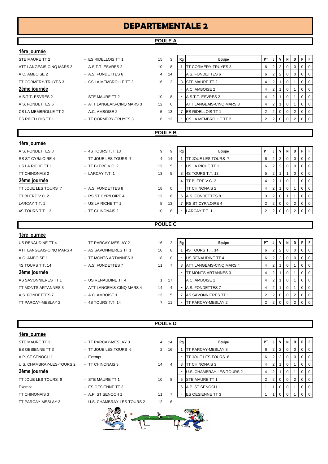# **DEPARTEMENTALE 2**

### **POULE A**

| 1ère journée             |                            |    |                |                          |                                 |                |                |                |          |              |                |                |
|--------------------------|----------------------------|----|----------------|--------------------------|---------------------------------|----------------|----------------|----------------|----------|--------------|----------------|----------------|
| STE MAURE TT 2           | - ES RIDELLOIS TT 1        | 15 | 3              | Rg                       | Equipe                          | <b>PT</b>      |                | V              | N        | D            | P I F          |                |
| ATT LANGEAIS-CINQ MARS 3 | - A.S.T.T. ESVRES 2        | 10 | 8              | -1                       | <b>TT CORMERY-TRUYES 3</b>      | 6              |                | $\overline{2}$ | 0        | 0            | 0              | $\Omega$       |
| A.C. AMBOISE 2           | - A.S. FONDETTES 6         | 4  | 14             | $\blacksquare$           | A.S. FONDETTES 6                | 6              | $\overline{2}$ | $\overline{2}$ | 0        | 0            | 0              | $\overline{0}$ |
| TT CORMERY-TRUYES 3      | - CS LA MEMBROLLE TT 2     | 16 | 2              |                          | 3 STE MAURE TT 2                | 4              | $\overline{2}$ | $\mathbf{1}$   | 0        |              | $\overline{0}$ | $\overline{0}$ |
| 2ème journée             |                            |    |                | $\overline{\phantom{a}}$ | A.C. AMBOISE 2                  | 4              | $\overline{2}$ | $\mathbf{1}$   | 0        |              | 0              | <b>0</b>       |
| A.S.T.T. ESVRES 2        | - STE MAURE TT 2           | 10 | 8              |                          | A.S.T.T. ESVRES 2               | 4              | $\overline{2}$ | $\mathbf{1}$   | 0        |              | 0              | 0              |
| A.S. FONDETTES 6         | - ATT LANGEAIS-CINQ MARS 3 | 12 | 6              |                          | <b>ATT LANGEAIS-CINQ MARS 3</b> | 4              | $\overline{2}$ | $\mathbf{1}$   | 0        |              | 0              | <b>0</b>       |
| CS LA MEMBROLLE TT 2     | - A.C. AMBOISE 2           | 5  | 13             | 7                        | <b>ES RIDELLOIS TT 1</b>        | 2              | 2              | $\Omega$       | $\Omega$ | 2            | 0              | $\overline{0}$ |
| <b>ES RIDELLOIS TT 1</b> | - TT CORMERY-TRUYES 3      | 6  | 12             | $\overline{\phantom{a}}$ | CS LA MEMBROLLE TT 2            | 2              | $\overline{2}$ | $\mathbf 0$    | 0        | 2            | 0              | <b>0</b>       |
|                          |                            |    |                |                          |                                 |                |                |                |          |              |                |                |
| <b>POULE B</b>           |                            |    |                |                          |                                 |                |                |                |          |              |                |                |
| 1ère journée             |                            |    |                |                          |                                 |                |                |                |          |              |                |                |
| A.S. FONDETTES 8         | - 4S TOURS T.T. 13         | 9  | 9              | Rg                       | Equipe                          | <b>PT</b>      | J              | $\mathsf{V}$   | N        | D            | PF             |                |
| <b>RS ST CYR/LOIRE 4</b> | - TT JOUE LES TOURS 7      | 4  | 14             | $\overline{1}$           | <b>TT JOUE LES TOURS 7</b>      | 6              | 2              | $\overline{2}$ | 0        | $\mathbf{0}$ | 0 <sup>1</sup> |                |
| US LA RICHE TT 1         | - TT BLERE V.C. 2          | 13 | 5              |                          | US LA RICHE TT 1                | 6              | $\overline{2}$ | $\overline{2}$ | 0        | 0            | $\Omega$       | $\overline{0}$ |
| <b>TT CHINONAIS 2</b>    | - LARCAY T.T. 1            | 13 | 5              |                          | 3 4S TOURS T.T. 13              | 5              | 2              | 1              |          | $\mathbf{0}$ | 0              | $\overline{0}$ |
| 2ème journée             |                            |    |                | $\overline{4}$           | <b>TT BLERE V.C. 2</b>          | 4              | $\overline{2}$ | $\mathbf{1}$   | 0        |              | 0              | 0              |
| TT JOUE LES TOURS 7      | - A.S. FONDETTES 8         | 18 | $\Omega$       |                          | <b>TT CHINONAIS 2</b>           | 4              | $\overline{2}$ | $\mathbf{1}$   | 0        |              | 0              | <b>0</b>       |
| TT BLERE V.C. 2          | - RS ST CYR/LOIRE 4        | 12 | 6              |                          | 6 A.S. FONDETTES 8              | 3              | 2              | $\overline{0}$ | 1        | 1            | 0              | <b>0</b>       |
| LARCAY T.T. 1            | - US LA RICHE TT 1         | 5  | 13             |                          | 7 <b>RS ST CYR/LOIRE 4</b>      | 2              | $\overline{2}$ | $\mathbf 0$    | 0        | 2            | 0              | l 0            |
| 4S TOURS T.T. 13         | - TT CHINONAIS 2           | 10 | 8              | $\blacksquare$           | LARCAY T.T. 1                   | $\overline{2}$ | $\overline{2}$ | $\Omega$       | $\Omega$ | 2            | 0              | $\overline{0}$ |
|                          |                            |    |                |                          |                                 |                |                |                |          |              |                |                |
|                          |                            |    | <b>POULE C</b> |                          |                                 |                |                |                |          |              |                |                |

### **1ère journée** US RENAUDINE TT 4 - TT PARCAY-MESLAY 2 16 2 **Rg** PT **P** Bquipe PT **PT J** V N D P F ATT LANGEAIS-CINQ MARS 4 - AS SAVONNIERES TT 1 10 8 1 4S TOURS T.T. 14 6 2 0 0 0 0 0 A.C. AMBOISE 1 - TT MONTS ARTANNES 3 18 0 - US RENAUDINE TT 4 6 2 2 0 0 0 0 4S TOURS T.T. 14 - A.S. FONDETTES 7 11 7 3 ATT LANGEAIS-CINQ MARS 4 4 2 1 0 1 0 0 **2ème journée** 2001 d'Oliveira de la compone de la propone de la propone de la propone de la propone de la propone de la propone de la propone de la propone de la propone de la propone de la propone de la propone de la pro AS SAVONNIERES TT 1 - US RENAUDINE TT 4 17 - A.C. AMBOISE 1 4 2 1 0 1 0 1 0 0 TT MONTS ARTANNES 3 - ATT LANGEAIS-CINQ MARS 4 14 4 - A.S. FONDETTES 7 4 2 1 0 1 0 1 0 1 A.S. FONDETTES 7 - A.C. AMBOISE 1 13 5 7 AS SAVONNIERES TT 1 2 2 0 0 2 0 2 TT PARCAY-MESLAY 2 - 4S TOURS T.T. 14 7 11 - TT PARCAY-MESLAY 2 2 2 0 0 2 0 2

**POULE D**

### **1ère journée**

| STF MAURE TT 1            |
|---------------------------|
| <b>ES OFSIENNE TT 3</b>   |
| A P ST SENOCH 1           |
| U.S. CHAMBRAY-LES-TOURS 2 |
| 2ème journée              |
| TT JOUE LES TOURS 6       |
| Exempt                    |
| <b>TT CHINONAIS 3</b>     |
| TT PARCAY-MESLAY 3        |

| STE MAURE TT 1            | - TT PARCAY-MESLAY 3        | 4             | 14 | Rg |                  |
|---------------------------|-----------------------------|---------------|----|----|------------------|
| ES OESIENNE TT 3          | - TT JOUE LES TOURS 6       | $\mathcal{P}$ | 16 |    | <b>TT PAF</b>    |
| A.P. ST SENOCH 1          | - Exempt                    |               |    |    | <b>TT JOL</b>    |
| U.S. CHAMBRAY-LES-TOURS 2 | - TT CHINONAIS 3            | 14            | 4  | 3  | TT CHI           |
| 2ème journée              |                             |               |    |    | U.S. CI          |
| TT JOUE LES TOURS 6       | - STE MAURE TT 1            | 10            | 8  | 5  | STE <sub>M</sub> |
| Exempt                    | - ES OESIENNE TT 3          |               |    | 6  | A.P. ST          |
| TT CHINONAIS 3            | - A.P. ST SENOCH 1          | 11            | 7  |    | ES OE            |
| TT PARCAY-MESLAY 3        | - U.S. CHAMBRAY-LES-TOURS 2 | 12            | 6  |    |                  |
|                           |                             |               |    |    |                  |

| <b>ICIC INAIIICE</b>      |                       |                |    |    |                           |      |                |                |                |          |                |                  |
|---------------------------|-----------------------|----------------|----|----|---------------------------|------|----------------|----------------|----------------|----------|----------------|------------------|
| STE MAURE TT 1            | - TT PARCAY-MESLAY 3  | 4              | 14 | Rg | Equipe                    | PT I |                | V              | N              | D        | PF             |                  |
| ES OESIENNE TT 3          | - TT JOUE LES TOURS 6 | $\overline{2}$ | 16 |    | TT PARCAY-MESLAY 3        | 6    |                |                | $\overline{0}$ | $\Omega$ | 0 <sub>0</sub> |                  |
| A.P. ST SENOCH 1          | - Exempt              |                |    |    | TT JOUE LES TOURS 6       | 6    | 2 <sub>1</sub> | $^{\circ}$ 2 . | $\mathbf{0}$   | $\Omega$ | $0$   $0$      |                  |
| U.S. CHAMBRAY-LES-TOURS 2 | - TT CHINONAIS 3      | 14             | 4  |    | <b>ITT CHINONAIS 3</b>    |      |                |                | $\Omega$       |          | $0$   $0$      |                  |
| 2ème journée              |                       |                |    |    | U.S. CHAMBRAY-LES-TOURS 2 | 4    |                |                | $\Omega$       |          |                | $\overline{1}$ 0 |
| TT JOUE LES TOURS 6       | - STE MAURE TT 1      | 10             | 8  |    | 5 STE MAURE TT 1          |      |                | - 0            | $\Omega$       | 2        | $0$   $0$      |                  |
| Exempt                    | - ES OESIENNE TT 3    |                |    |    | 6 A.P. ST SENOCH 1        |      |                |                | $\Omega$       |          |                | 0 <sub>0</sub>   |
| TT CHINONAIS 3            | - A.P. ST SENOCH 1    | 11             |    |    | <b>IES OESIENNE TT 3</b>  |      |                |                |                |          |                | 0 <sub>0</sub>   |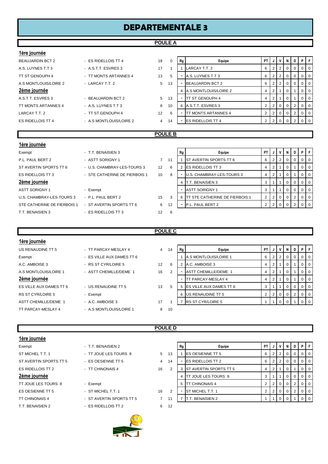# **DEPARTEMENTALE 3**

### **POULE A**

| 1ère journée                |                               |                |                |                          |                                  |                |                |                |              |                |                |                |
|-----------------------------|-------------------------------|----------------|----------------|--------------------------|----------------------------------|----------------|----------------|----------------|--------------|----------------|----------------|----------------|
| <b>BEAUJARDIN BCT 2</b>     | - ES RIDELLOIS TT 4           | 18             | 0              | Rg                       | Equipe                           | <b>PT</b>      | J              | V              | N            | D              |                | PF             |
| A.S. LUYNES T.T 3           | - A.S.T.T. ESVRES 3           | 17             | 1              | 1                        | LARCAY T.T. 2                    | 6              | $\overline{2}$ | 2              | $\mathbf 0$  | 0              | $\overline{0}$ | $\overline{0}$ |
| TT ST GENOUPH 4             | - TT MONTS ARTANNES 4         | 13             | 5              |                          | A.S. LUYNES T.T 3                | 6              | $\overline{2}$ | 2              | $\mathbf 0$  | 0              | $\overline{0}$ | $\overline{0}$ |
| A.S MONTLOUIS/LOIRE 2       | - LARCAY T.T. 2               | 5              | 13             |                          | <b>BEAUJARDIN BCT 2</b>          | 6              | 2              | $\overline{2}$ | 0            | 0              | $\overline{0}$ | $\overline{0}$ |
| 2ème journée                |                               |                |                | 4                        | A.S MONTLOUIS/LOIRE 2            | 4              | $\overline{2}$ |                | $\mathbf 0$  |                | $\overline{0}$ | $\overline{0}$ |
| A.S.T.T. ESVRES 3           | - BEAUJARDIN BCT 2            | 5              | 13             |                          | <b>TT ST GENOUPH 4</b>           | 4              | 2              |                | $\mathbf 0$  |                | $\overline{0}$ | $\overline{0}$ |
| TT MONTS ARTANNES 4         | - A.S. LUYNES T.T 3           | 8              | 10             |                          | 6 A.S.T.T. ESVRES 3              | $\overline{2}$ | $\overline{2}$ | 0              | 0            | 2              | $\overline{0}$ | $\overline{0}$ |
| LARCAY T.T. 2               | - TT ST GENOUPH 4             | 12             | 6              |                          | <b>ITT MONTS ARTANNES 4</b>      | 2              | $\overline{2}$ | 0              | 0            | 2              | $\overline{0}$ | $\overline{0}$ |
| <b>ES RIDELLOIS TT 4</b>    | - A.S MONTLOUIS/LOIRE 2       | $\overline{4}$ | 14             |                          | <b>ES RIDELLOIS TT 4</b>         | $\overline{2}$ | $\overline{2}$ | $\mathbf 0$    | $\Omega$     | $\overline{2}$ | $\overline{0}$ | $\overline{0}$ |
|                             |                               |                |                |                          |                                  |                |                |                |              |                |                |                |
|                             |                               |                |                |                          |                                  |                |                |                |              |                |                |                |
|                             |                               |                | <b>POULE B</b> |                          |                                  |                |                |                |              |                |                |                |
| 1ère journée                |                               |                |                |                          |                                  |                |                |                |              |                |                |                |
| Exempt                      | - T.T. BENAISIEN 3            |                |                | Rg                       | Equipe                           | PT I           | IJ             | V              | $\mathsf{N}$ | D              |                | PIF            |
| P.L. PAUL BERT 2            | - ASTT SORIGNY 1              | $\overline{7}$ | 11             |                          | <b>ST AVERTIN SPORTS TT 6</b>    | 6              | 2              | 2              | $\mathbf 0$  | 0              | $\overline{0}$ | $\overline{0}$ |
| ST AVERTIN SPORTS TT 6      | - U.S. CHAMBRAY-LES-TOURS 3   | 12             | 6              |                          | 2 ES RIDELLOIS TT 3              | 4              | 2              |                | 0            |                | $\overline{0}$ | $\overline{0}$ |
| <b>ES RIDELLOIS TT 3</b>    | - STE CATHERINE DE FIERBOIS 1 | 10             | 8              |                          | U.S. CHAMBRAY-LES-TOURS 3        | 4              | $\overline{2}$ |                | $\mathbf 0$  |                | $\overline{0}$ | $\overline{0}$ |
| <u>2ème journée</u>         |                               |                |                |                          | <b>T.T. BENAISIEN 3</b>          | 3              |                |                | $\Omega$     | 0              | $\overline{0}$ | $\overline{0}$ |
| <b>ASTT SORIGNY 1</b>       | - Exempt                      |                |                | $\overline{\phantom{a}}$ | <b>ASTT SORIGNY 1</b>            | 3              |                |                | 0            | 0              | $\overline{0}$ | $\overline{0}$ |
| U.S. CHAMBRAY-LES-TOURS 3   | - P.L. PAUL BERT 2            | 15             | 3              |                          | 6 TT STE CATHERINE DE FIERBOIS 1 | $\overline{2}$ | $\overline{2}$ | 0              | $\mathbf 0$  | 2              | $\overline{0}$ | $\overline{0}$ |
| STE CATHERINE DE FIERBOIS 1 | - ST AVERTIN SPORTS TT 6      | 6              | 12             |                          | P.L. PAUL BERT 2                 | $\overline{2}$ | $\overline{2}$ | $\Omega$       | $\Omega$     | $\overline{2}$ | $\overline{0}$ | $\overline{0}$ |

### **POULE C**

| 1ère journée             |                           |                |    |    |                             |           |                |                |                |                |                |          |
|--------------------------|---------------------------|----------------|----|----|-----------------------------|-----------|----------------|----------------|----------------|----------------|----------------|----------|
| US RENAUDINE TT 5        | - TT PARCAY-MESLAY 4      | $\overline{4}$ | 14 | Rg | Equipe                      | <b>PT</b> | J              | $\mathsf{v}$   | N              | D              | P              | -F       |
| Exempt                   | - ES VILLE AUX DAMES TT 6 |                |    |    | A.S MONTLOUIS/LOIRE 1       | 6         | 2 <sup>1</sup> | $\overline{2}$ | $\mathbf{0}$   | 0              | 0 <sup>1</sup> |          |
| A.C. AMBOISE 3           | - RS ST CYR/LOIRE 5       | 12             | 6  |    | A.C. AMBOISE 3              | 4         | $\overline{2}$ |                | 0              |                | $\overline{0}$ | l 0      |
| A.S MONTLOUIS/LOIRE 1    | - ASTT CHEMILLE/DEME 1    | 16             | 2  |    | <b>ASTT CHEMILLE/DEME 1</b> | 4         | $\overline{2}$ |                | 0              |                | 0 <sup>0</sup> |          |
| 2ème journée             |                           |                |    |    | TT PARCAY-MESLAY 4          | 4         | $\mathbf{2}$   |                | 0              |                |                | $\Omega$ |
| ES VILLE AUX DAMES TT 6  | - US RENAUDINE TT 5       | 13             | 5  | 5  | ES VILLE AUX DAMES TT 6     | 3         |                |                | $\overline{0}$ | 0              | $\Omega$       | l 0      |
| <b>RS ST CYR/LOIRE 5</b> | - Exempt                  |                |    | 6  | US RENAUDINE TT 5           | 2         | $\overline{2}$ |                | $\mathbf 0$    | $\overline{2}$ | $\mathbf{0}$   | $\Omega$ |
| ASTT CHEMILLE/DEME 1     | - A.C. AMBOISE 3          | 17             |    |    | <b>RS ST CYR/LOIRE 5</b>    |           |                |                |                |                |                | - 0      |
| TT PARCAY-MESLAY 4       | - A.S MONTLOUIS/LOIRE 1   | 8              | 10 |    |                             |           |                |                |                |                |                |          |

**POULE D**

### **1ère journée**

| Exempt                   |
|--------------------------|
| ST MICHEL TT 1           |
| ST AVERTIN SPORTS TT 5   |
| <b>ES RIDELLOIS TT 2</b> |
| 2ème journée             |
| TT JOUE LES TOURS 8      |
| <b>ES OESIENNE TT 5</b>  |
| <b>TT CHINONAIS 4</b>    |
| <b>T.T. BENAISIEN 2</b>  |
|                          |

| T. BENAISIEN 2   |  |
|------------------|--|
| JOUE LES TOURS 8 |  |
| S OESIENNE TT 5  |  |
| CHINONAIS 4      |  |
|                  |  |

- ES RIDELLOIS TT 2 6 12



| Tere fournee           |                          |    |                |    |                                |      |   |     |          |              |                |                |
|------------------------|--------------------------|----|----------------|----|--------------------------------|------|---|-----|----------|--------------|----------------|----------------|
| Exempt                 | - T.T. BENAISIEN 2       |    |                | Rg | Equipe                         | PTIJ |   | ΙV  | N        | D I          | PF             |                |
| ST MICHEL T.T. 1       | - TT JOUE LES TOURS 8    | 5  | 13             |    | <b>IES OESIENNE TT 5</b>       | 6    |   |     | $\Omega$ | $\mathbf{0}$ | 0 <sub>0</sub> |                |
| ST AVERTIN SPORTS TT 5 | - ES OESIENNE TT 5       | 4  | 14             |    | <b>ES RIDELLOIS TT 2</b>       | 6    | 2 | -2  | $\Omega$ | $\mathbf{0}$ | $01$ 0         |                |
| ES RIDELLOIS TT 2      | - TT CHINONAIS 4         | 16 | $\overline{2}$ |    | <b>IST AVERTIN SPORTS TT 5</b> | 4    |   |     |          |              |                | $0$   0        |
| 2ème journée           |                          |    |                |    | <b>TT JOUE LES TOURS 8</b>     |      |   |     | $\Omega$ | $\Omega$     | 0 <sub>0</sub> |                |
| TT JOUE LES TOURS 8    | - Exempt                 |    |                | 5  | <b>TT CHINONAIS 4</b>          |      |   | 2 0 | 0        | 2            |                | $01$ 0         |
| ES OESIENNE TT 5       | - ST MICHEL T.T. 1       | 16 | 2              |    | ST MICHEL T.T. 1               |      |   | 2 0 |          | 2            |                | 0 <sup>1</sup> |
| TT CHINONAIS 4         | - ST AVERTIN SPORTS TT 5 |    | 11             |    | . BENAISIEN 2                  |      |   |     |          |              |                | 0 <sub>0</sub> |
|                        |                          |    |                |    |                                |      |   |     |          |              |                |                |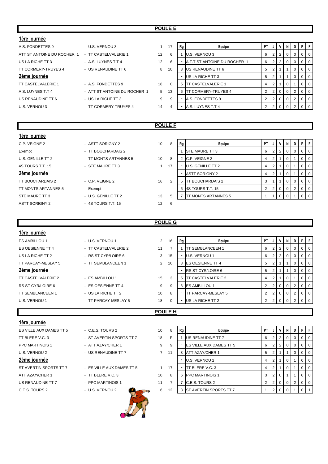### **POULE E**

| 1ère journée               |                              |    |          |              |                              |                |                |                 |                |                |                |          |
|----------------------------|------------------------------|----|----------|--------------|------------------------------|----------------|----------------|-----------------|----------------|----------------|----------------|----------|
| A.S. FONDETTES 9           | - U.S. VERNOU 3              |    | 17       | Rq           | Equipe                       | PT I           |                | JIVI            | $\mathbf{N}$   | D              | PF             |          |
| ATT ST ANTOINE DU ROCHER 1 | - TT CASTELVALERIE 1         | 12 | 6        |              | U.S. VERNOU 3                | 6              |                | $2 \mid 2 \mid$ | $\overline{0}$ | 0              | 0 <sup>1</sup> |          |
| US LA RICHE TT 3           | - A.S. LUYNES T.T 4          | 12 | 6        |              | A.T.T.ST ANTOINE DU ROCHER 1 | 6              |                | $2 \mid 2 \mid$ | 0              |                |                | - 0      |
| TT CORMERY-TRUYES 4        | - US RENAUDINE TT 6          | 8  | 10       |              | <b>IUS RENAUDINE TT 6</b>    | 5              | 2 <sub>1</sub> |                 |                |                | 0 <sup>1</sup> |          |
| 2ème journée               |                              |    |          |              | US LA RICHE TT 3             | 5              | 2 <sub>1</sub> |                 |                | 0              | 0 <sup>1</sup> |          |
| <b>TT CASTELVALERIE 1</b>  | - A.S. FONDETTES 9           | 18 | $\Omega$ | $\mathbf{b}$ | IT CASTELVALERIE 1           | 4              | 2 <sub>1</sub> |                 | 0              |                |                | 0        |
| A.S. LUYNES T.T 4          | - ATT ST ANTOINE DU ROCHER 1 | 5  | 13       |              | <b>IT CORMERY-TRUYES 4</b>   | $\overline{2}$ |                | $2 \ 0$         | $\overline{0}$ | $\overline{2}$ |                | - 0      |
| US RENAUDINE TT 6          | - US LA RICHE TT 3           | 9  | 9        |              | A.S. FONDETTES 9             |                |                | $2 \ 0$         | $\overline{0}$ | $\overline{2}$ |                | <b>0</b> |
| U.S. VERNOU 3              | - TT CORMERY-TRUYES 4        | 14 | 4        |              | A.S. LUYNES T.T 4            |                |                | 2 0             |                |                | 0 <sup>1</sup> |          |
|                            |                              |    |          |              |                              |                |                |                 |                |                |                |          |

### **POULE F**

| 1ère journée               |                       |    |    |                |                             |           |                |                |                |             |                |                |
|----------------------------|-----------------------|----|----|----------------|-----------------------------|-----------|----------------|----------------|----------------|-------------|----------------|----------------|
| C.P. VEIGNE 2              | - ASTT SORIGNY 2      | 10 | 8  | Rg             | Equipe                      | <b>PT</b> | J              | $\mathsf{v}$   |                |             | NDPF           |                |
| Exempt                     | - TT BOUCHARDAIS 2    |    |    |                | <b>STE MAURE TT 3</b>       | 6         | $\overline{2}$ | $\overline{2}$ | $\overline{0}$ | $\mathbf 0$ | $\overline{0}$ | 0              |
| U.S. GENILLE TT 2          | - TT MONTS ARTANNES 5 | 10 | 8  | $\overline{2}$ | C.P. VEIGNE 2               | 4         | 2              |                | $\mathbf{0}$   |             | $\overline{0}$ | <b>0</b>       |
| 4S TOURS T.T. 15           | - STE MAURE TT 3      |    | 17 |                | U.S. GENILLE TT 2           | 4         | 2              |                | 0              |             | 0              | $\overline{0}$ |
| 2ème journée               |                       |    |    | -              | <b>ASTT SORIGNY 2</b>       | 4         | ∠              |                | 0              |             | $\overline{0}$ | $\overline{0}$ |
| TT BOUCHARDAIS 2           | $-$ C.P. VEIGNE 2     | 16 | 2  | 5              | <b>TT BOUCHARDAIS 2</b>     | 3         |                |                | $\overline{0}$ | $\Omega$    | $\overline{0}$ | <b>O</b>       |
| <b>TT MONTS ARTANNES 5</b> | - Exempt              |    |    | 6              | 4S TOURS T.T. 15            | 2         | 2              | $\mathbf{0}$   | $\overline{0}$ | $2^{\circ}$ | $\overline{0}$ | $\overline{0}$ |
| STE MAURE TT 3             | - U.S. GENILLE TT 2   | 13 | 5  |                | <b>ITT MONTS ARTANNES 5</b> |           |                | $\mathbf 0$    |                |             | $\Omega$       | <b>0</b>       |
| <b>ASTT SORIGNY 2</b>      | - 4S TOURS T.T. 15    | 12 | -6 |                |                             |           |                |                |                |             |                |                |
|                            |                       |    |    |                |                             |           |                |                |                |             |                |                |

### **POULE G**

| 1ère journée            |                      |                |                |    |                            |                |                |                |                         |                |   |                |
|-------------------------|----------------------|----------------|----------------|----|----------------------------|----------------|----------------|----------------|-------------------------|----------------|---|----------------|
| <b>ES AMBILLOU 1</b>    | - U.S. VERNOU 1      | $\overline{2}$ | 16             | Rg | Equipe                     | <b>PT</b>      | J              | v              | N                       | D              | P | $\mathsf{F}$   |
| ES OESIENNE TT 4        | - TT CASTELVALERIE 2 | 11             | $\overline{ }$ |    | <b>TT SEMBLANCEEN 1</b>    | 6              | 2              |                | 0                       | 0              |   | $0$   0        |
| US LA RICHE TT 2        | - RS ST CYR/LOIRE 6  | 3              | 15             |    | U.S. VERNOU 1              | 6              | 2              | 2              | 0                       | 0              |   | $0$   0        |
| TT PARCAY-MESLAY 5      | - TT SEMBLANCEEN 1   | 2              | 16             | 3  | <b>IES OESIENNE TT 4</b>   | 5              | $\overline{2}$ |                |                         | 0              |   | 0 <sup>1</sup> |
| 2ème journée            |                      |                |                |    | <b>RS ST CYR/LOIRE 6</b>   | 5              | $\overline{2}$ |                |                         | 0              |   | $0$   0        |
| TT CASTELVALERIE 2      | - ES AMBILLOU 1      | 15             | 3              | 5  | <b>ITT CASTELVALERIE 2</b> | $\overline{4}$ | 2              |                | $\overline{\mathbf{0}}$ |                |   | $0$   0        |
| RS ST CYR/LOIRE 6       | - ES OESIENNE TT 4   | 9              | 9              | 6  | <b>ES AMBILLOU 1</b>       | $\overline{2}$ | 2              | 0              | 0                       | 2              |   | $01$ 0         |
| <b>TT SEMBLANCEEN 1</b> | - US LA RICHE TT 2   | 10             | 8              |    | TT PARCAY-MESLAY 5         | $\overline{2}$ | 2              | $\overline{0}$ | l 0                     | 2              |   | $0$   0        |
| U.S. VERNOU 1           | - TT PARCAY-MESLAY 5 | 18             | 0              |    | US LA RICHE TT 2           | $\mathbf{2}$   | $\overline{2}$ |                |                         | $\overline{2}$ |   | 0 <sub>0</sub> |
|                         |                      |                |                |    |                            |                |                |                |                         |                |   |                |
|                         | POULE H              |                |                |    |                            |                |                |                |                         |                |   |                |

### **1ère journée**

| ES VILLE AUX DAMES TT 5  |  |  |  |  |  |  |  |  |
|--------------------------|--|--|--|--|--|--|--|--|
| TT BLERE V.C. 3          |  |  |  |  |  |  |  |  |
| <b>PPC MARTINOIS 1</b>   |  |  |  |  |  |  |  |  |
| U.S. VERNOU <sub>2</sub> |  |  |  |  |  |  |  |  |
| <u>2ème journée</u>      |  |  |  |  |  |  |  |  |
| ST AVERTIN SPORTS TT 7   |  |  |  |  |  |  |  |  |
| ATT AZAY/CHER 1          |  |  |  |  |  |  |  |  |
|                          |  |  |  |  |  |  |  |  |
| US RENAUDINE TT 7        |  |  |  |  |  |  |  |  |

| - ST AVERTIN SPORTS TT 7  | 18 |
|---------------------------|----|
| - ATT AZAY/CHER 1         |    |
| - US RENAUDINE TT 7       |    |
|                           |    |
| - ES VILLE AUX DAMES TT 5 |    |
| $-$ TT BI FRF V C 3       | 10 |
| - PPC MARTINOIS 1         |    |



| ES VILLE AUX DAMES TT 5 | - C.E.S. TOURS 2          | 10             | 8  | Rg | Equipe                          | PT I | J                                                                 | V I | N   | D        | PF     |                |
|-------------------------|---------------------------|----------------|----|----|---------------------------------|------|-------------------------------------------------------------------|-----|-----|----------|--------|----------------|
| TT BLERE V.C. 3         | - ST AVERTIN SPORTS TT 7  | 18             |    |    | US RENAUDINE TT 7               |      | 2 <sub>1</sub>                                                    |     | - 0 | $\Omega$ |        | $01$ 0         |
| PPC MARTINOIS 1         | - ATT AZAY/CHER 1         | 9              | 9  |    | <b>IES VILLE AUX DAMES TT 5</b> | 6    | 2 <sub>1</sub>                                                    |     |     | $\Omega$ |        | 0   0          |
| U.S. VERNOU 2           | - US RENAUDINE TT 7       | $\overline{7}$ | 11 |    | <b>ATT AZAY/CHER 1</b>          |      |                                                                   |     |     | 0        |        | $01$ 0         |
| 2ème journée            |                           |                |    |    | U.S. VERNOU 2                   |      |                                                                   |     |     |          |        | $0$   0        |
| ST AVERTIN SPORTS TT 7  | - ES VILLE AUX DAMES TT 5 |                | 17 |    | TT BLERE V.C. 3                 |      | 2 <sup>1</sup>                                                    |     |     |          |        | $0$   0        |
| ATT AZAY/CHER 1         | $-$ TT BLERE V.C. 3       | 10             | 8  | 6  | <b>PPC MARTINOIS 1</b>          |      |                                                                   | 20  |     |          |        | $\overline{0}$ |
| US RENAUDINE TT 7       | - PPC MARTINOIS 1         | 11             |    |    | C.E.S. TOURS 2                  |      | $\begin{array}{c c c c c} \hline 2 & 0 & 0 \\ \hline \end{array}$ |     |     | 2        | $01$ 0 |                |
| C.E.S. TOURS 2          | - U.S. VERNOU 2           | 6              | 12 | 8  | <b>IST AVERTIN SPORTS TT 7</b>  |      |                                                                   |     |     |          |        |                |
|                         |                           |                |    |    |                                 |      |                                                                   |     |     |          |        |                |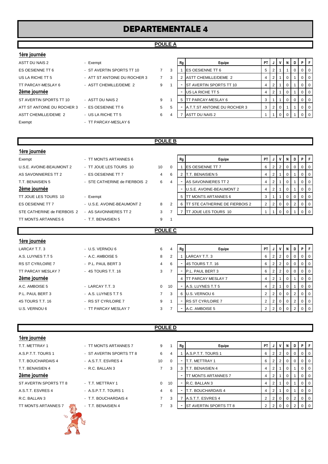# **DEPARTEMENTALE 4**

### **POULE A**

### **1ère journée**

| ASTT DU NAIS 2             | - Exempt                     |                |
|----------------------------|------------------------------|----------------|
| ES OESIENNE TT 6           | - ST AVERTIN SPORTS TT 10    | 7              |
| US LA RICHE TT 5           | - ATT ST ANTOINE DU ROCHER 3 | $\overline{7}$ |
| TT PARCAY-MESLAY 6         | - ASTT CHEMILLE/DEME 2       | 9              |
| 2ème journée               |                              |                |
| ST AVERTIN SPORTS TT 10    | - ASTT DU NAIS 2             | 9              |
| ATT ST ANTOINE DU ROCHER 3 | - ES OESIENNE TT 6           | 5              |
| ASTT CHEMILLE/DEME 2       | - US LA RICHE TT 5           | 6              |
|                            |                              |                |

- 
- 
- -
- 
- 
- Exempt Fxempt Francisco TT PARCAY-MESLAY 6

| ASTT DU NAIS 2             | - Exempt                     |   |   | Rg | Equipe                         | PT. |     |            | N. |                |                |
|----------------------------|------------------------------|---|---|----|--------------------------------|-----|-----|------------|----|----------------|----------------|
| ES OESIENNE TT 6           | - ST AVERTIN SPORTS TT 10    |   | 3 |    | <b>IES OESIENNE TT 6</b>       | 5   |     |            |    |                | 0 <sub>0</sub> |
| US LA RICHE TT 5           | - ATT ST ANTOINE DU ROCHER 3 |   |   |    | ASTT CHEMILLE/DEME 2           |     | 211 |            |    | $01$ 0         |                |
| TT PARCAY-MESLAY 6         | - ASTT CHEMILLE/DEME 2       | 9 |   |    | <b>ST AVERTIN SPORTS TT 10</b> |     | 2   |            |    |                | 0 <sub>0</sub> |
| 2ème journée               |                              |   |   |    | US LA RICHE TT 5               |     |     |            |    |                | 0 <sub>0</sub> |
| ST AVERTIN SPORTS TT 10    | - ASTT DU NAIS 2             | 9 |   |    | TT PARCAY-MESLAY 6             |     |     |            |    | 0 <sub>0</sub> |                |
| ATT ST ANTOINE DU ROCHER 3 | - ES OESIENNE TT 6           | 5 |   |    | A.T.T.ST ANTOINE DU ROCHER 3   | 3 I |     | $2 \mid 0$ |    |                | 0 <sub>0</sub> |
| ASTT CHEMILLE/DEME 2       | - US LA RICHE TT 5           | 6 |   |    | ASTT DU NAIS 2                 |     |     |            |    |                | l O            |

### **POULE B**

| Exempt                      |    |
|-----------------------------|----|
| U.S.E. AVOINE-BEAUMONT 2    | Ξ  |
| AS SAVONNIERES TT 2         | H  |
| <b>T.T. BENAISIEN 5</b>     |    |
| 2ème journée                |    |
|                             |    |
| TT JOUE LES TOURS 10        | H  |
| <b>ES OESIENNE TT 7</b>     | -1 |
| STE CATHERINE de FIERBOIS 2 |    |

# **TT MONTS ARTANNES 6** TT JOUE LES TOURS 10 10 0 ES OESIENNE TT 7 4 6 STE CATHERINE de FIERBOIS 2 6 4 U.S.E. AVOINE-BEAUMONT 2 8 2 AS SAVONNIERES TT 2 3 7 TT MONTS ARTANNES 6 - T.T. BENAISIEN 5 9 1

| Exempt                      | - TT MONTS ARTANNES 6         |    |   | Rg | Equipe                      | <b>PT</b> |  | N        |  | PFI              |
|-----------------------------|-------------------------------|----|---|----|-----------------------------|-----------|--|----------|--|------------------|
| U.S.E. AVOINE-BEAUMONT 2    | - TT JOUE LES TOURS 10        | 10 |   |    | <b>ES OESIENNE TT 7</b>     | 6         |  | $\Omega$ |  | $0$   $0$        |
| AS SAVONNIERES TT 2         | - ES OESIENNE TT 7            | 4  | 6 |    | T.T. BENAISIEN 5            |           |  | 0        |  | $\overline{101}$ |
| T.T. BENAISIEN 5            | - STE CATHERINE de FIERBOIS 2 | 6  | 4 |    | AS SAVONNIERES TT 2         |           |  |          |  | $0$   $0$        |
| 2ème journée                |                               |    |   |    | U.S.E. AVOINE-BEAUMONT 2    | 4         |  |          |  | $\overline{101}$ |
| TT JOUE LES TOURS 10        | - Exempt                      |    |   |    | <b>IT MONTS ARTANNES 6</b>  |           |  |          |  | 0 1 0            |
| ES OESIENNE TT 7            | - U.S.E. AVOINE-BEAUMONT 2    | 8  |   | 6  | STE CATHERINE DE FIERBOIS 2 |           |  | $\Omega$ |  | 0 1 0 1          |
| STE CATHERINE de FIERBOIS 2 | - AS SAVONNIERES TT 2         | 3  |   |    | JOUE LES TOURS 10           |           |  |          |  | $\overline{0}$   |
|                             |                               |    |   |    |                             |           |  |          |  |                  |

### **1ère journée**

**1ère journée**

# A.S. LUYNES T.T 5 - A.C. AMBOISE 5 8 2 1 LARCAY T.T. 3 6 2 2 0 0 0 0 RS ST CYR/LOIRE 7 - P.L. PAUL BERT 3 4 TT PARCAY MESLAY 7 - 4S TOURS T.T. 16 3 A.C. AMBOISE 5 - LARCAY T.T. 3 0 P.L. PAUL BERT 3 - A.S. LUYNES T.T 5 7

# LARCAY T.T. 3 - U.S. VERNOU 6 6 4 **Rg Equipe PT J V N D P F**

# 4S TOURS T.T. 16 - RS ST CYR/LOIRE 7 9 1 - RS ST CYR/LOIRE 7 2 2 0 0 2 0 0

# U.S. VERNOU 6 **FRANCAY MESLAY 7** 3

# **POULE C**

| 1ère journée       |                      |                |    |    |                            |                |              |             |          |                |  |
|--------------------|----------------------|----------------|----|----|----------------------------|----------------|--------------|-------------|----------|----------------|--|
| LARCAY T.T. 3      | - U.S. VERNOU 6      | 6              | 4  | Rg | Equipe                     | PT I           | ل -          |             |          | D I            |  |
| A.S. LUYNES T.T 5  | - A.C. AMBOISE 5     | 8              | 2  |    | LARCAY T.T. 3              | 6              | 2            | 2           | 0        |                |  |
| RS ST CYR/LOIRE 7  | - P.L. PAUL BERT 3   | $\overline{4}$ | 6  |    | <b>4S TOURS T.T. 16</b>    | 6              |              |             |          |                |  |
| TT PARCAY MESLAY 7 | - 4S TOURS T.T. 16   | 3              |    |    | P.L. PAUL BERT 3           | 6              |              |             |          |                |  |
| 2ème journée       |                      |                |    |    | <b>ITT PARCAY MESLAY 7</b> | 4              |              |             |          |                |  |
| A.C. AMBOISE 5     | - LARCAY T.T. 3      | $\Omega$       | 10 |    | A.S. LUYNES T.T 5          | 4              |              |             |          |                |  |
| P.L. PAUL BERT 3   | - A.S. LUYNES T.T 5  | $7^{\circ}$    | 3  |    | 6 U.S. VERNOU 6            | 2              |              | $\Omega$    | $\Omega$ | 2 <sup>1</sup> |  |
| 4S TOURS T.T. 16   | - RS ST CYR/LOIRE 7  | 9              |    |    | <b>RS ST CYR/LOIRE 7</b>   | $\overline{2}$ | <sup>2</sup> | $\mathbf 0$ | $\Omega$ | 2 <sup>1</sup> |  |
| U.S. VERNOU 6      | - TT PARCAY MESLAY 7 | 3              |    |    | A.C. AMBOISE 5             |                |              |             |          |                |  |

### **POULE D**

| 1ère journée           |                          |                |          |    |                               |                |                |                 |     |                |                |                |
|------------------------|--------------------------|----------------|----------|----|-------------------------------|----------------|----------------|-----------------|-----|----------------|----------------|----------------|
| T.T. METTRAY 1         | - TT MONTS ARTANNES 7    | 9              |          | Rg | Equipe                        | PT I           |                | JIVI            | - N | D              | P.             | $\mathsf{F}$   |
| A.S.P.T.T. TOURS 1     | - ST AVERTIN SPORTS TT 8 | 6              |          |    | A.S.P.T.T. TOURS 1            | 6              | 2 <sub>1</sub> | $\overline{2}$  |     | $\Omega$       | $\overline{0}$ | $\overline{0}$ |
| T.T. BOUCHARDAIS 4     | - A.S.T.T. ESVRES 4      | 10             | $\Omega$ |    | <b>T.T. METTRAY 1</b>         | 6              |                | $2 \mid 2 \mid$ | - 0 | 0              | $\overline{0}$ | $\overline{0}$ |
| T.T. BENAISIEN 4       | $-R.C. BALLAN 3$         | $\overline{7}$ | 3        | 3  | T.T. BENAISIEN 4              | 4              | $\overline{2}$ |                 |     |                | $\overline{0}$ | $\overline{0}$ |
| 2ème journée           |                          |                |          |    | TT MONTS ARTANNES 7           | 4              |                |                 |     |                | 0 <sup>1</sup> | $\overline{0}$ |
| ST AVERTIN SPORTS TT 8 | - T.T. METTRAY 1         | 0              | 10       |    | R.C. BALLAN 3                 | 4              |                |                 | - 0 |                | $\overline{0}$ | $\overline{0}$ |
| A.S.T.T. ESVRES 4      | - A.S.P.T.T. TOURS 1     | $\overline{4}$ | 6        |    | T.T. BOUCHARDAIS 4            | $\overline{4}$ | 2 <sub>1</sub> |                 | 0   |                | $\overline{0}$ | $\overline{0}$ |
| R.C. BALLAN 3          | - T.T. BOUCHARDAIS 4     | $\overline{7}$ | 3        |    | A.S.T.T. ESVRES 4             | $\mathbf{2}$   |                | 2000            |     | $\overline{2}$ | $\overline{0}$ | $\overline{0}$ |
| TT MONTS ARTANNES 7    | - T.T. BENAISIEN 4       | 7              | 3        |    | <b>ST AVERTIN SPORTS TT 8</b> | 2              |                |                 |     |                |                | $\overline{0}$ |
| $u_{\infty}$           |                          |                |          |    |                               |                |                |                 |     |                |                |                |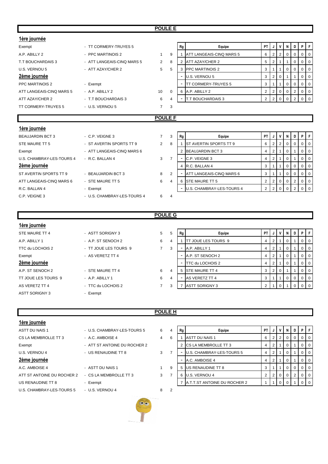### **POULE E**

| 1ère journée              |                            |                |                |                          |                               |                |                |                |             |                |                |                |
|---------------------------|----------------------------|----------------|----------------|--------------------------|-------------------------------|----------------|----------------|----------------|-------------|----------------|----------------|----------------|
| Exempt                    | - TT CORMERY-TRUYES 5      |                |                | Rg                       | Equipe                        | PT I           | J              | $\mathsf{v}$   | N           | D              |                | PF             |
| A.P. ABILLY 2             | - PPC MARTINOIS 2          | $\mathbf{1}$   | 9              |                          | ATT LANGEAIS-CINQ MARS 5      | 6              | 2              | 2              | $\Omega$    | 0              | $\overline{0}$ | $\overline{0}$ |
| T.T BOUCHARDAIS 3         | - ATT LANGEAIS-CINQ MARS 5 | $\overline{2}$ | 8              | 2                        | ATT AZAY/CHER 2               | 5              | $\overline{2}$ | $\overline{1}$ |             | 0              | $\mathbf{0}$   | $\overline{0}$ |
| U.S. VERNOU 5             | - ATT AZAY/CHER 2          | 5              | 5              |                          | 3 PPC MARTINOIS 2             | 3              |                | $\overline{1}$ | $\mathbf 0$ | 0              | $\overline{0}$ | $\overline{0}$ |
| 2ème journée              |                            |                |                |                          | U.S. VERNOU 5                 | 3              | $\overline{2}$ | $\mathbf 0$    |             |                | $\overline{0}$ | $\overline{0}$ |
| PPC MARTINOIS 2           | - Exempt                   |                |                | $\overline{\phantom{a}}$ | <b>TT CORMERY-TRUYES 5</b>    | 3              |                | $\overline{1}$ | $\mathbf 0$ | 0              | $\overline{0}$ | $\overline{0}$ |
| ATT LANGEAIS-CINQ MARS 5  | - A.P. ABILLY 2            | 10             | $\Omega$       |                          | 6 A.P. ABILLY 2               | $\overline{2}$ | $\overline{2}$ | 0              | 0           | 2              | $\overline{0}$ | $\overline{0}$ |
| ATT AZAY/CHER 2           | - T.T BOUCHARDAIS 3        | 6              | 4              |                          | <b>T.T BOUCHARDAIS 3</b>      | $\overline{2}$ | $\overline{2}$ | $\mathbf 0$    | $\Omega$    | $\overline{2}$ | $\overline{0}$ | $\overline{0}$ |
| TT CORMERY-TRUYES 5       | - U.S. VERNOU 5            | $\overline{7}$ | 3              |                          |                               |                |                |                |             |                |                |                |
|                           | <b>POULE F</b>             |                |                |                          |                               |                |                |                |             |                |                |                |
|                           |                            |                |                |                          |                               |                |                |                |             |                |                |                |
| 1ère journée              |                            |                |                |                          |                               |                |                |                |             |                |                |                |
| <b>BEAUJARDIN BCT 3</b>   | $-$ C.P. VEIGNE 3          | $\overline{7}$ | 3              | Rg                       | Equipe                        | PT I           | J              | $\mathbf v$    | N           | D              |                | PF             |
| STE MAURE TT 5            | - ST AVERTIN SPORTS TT 9   | $\overline{2}$ | 8              |                          | <b>ST AVERTIN SPORTS TT 9</b> | 6              | 2              | 2              | $\Omega$    | 0              | $\overline{0}$ | $\overline{0}$ |
| Exempt                    | - ATT LANGEAIS-CINQ MARS 6 |                |                |                          | 2 BEAUJARDIN BCT 3            | 4              | 2              | -1             | 0           |                | $\overline{0}$ | $\overline{0}$ |
| U.S. CHAMBRAY-LES-TOURS 4 | - R.C. BALLAN 4            | 3              | $\overline{7}$ | ۰                        | C.P. VEIGNE 3                 | 4              | $\overline{2}$ | $\overline{1}$ | $\mathbf 0$ |                | $\overline{0}$ | $\overline{0}$ |
| 2ème journée              |                            |                |                | 4                        | R.C. BALLAN 4                 | 3              |                | $\mathbf 1$    | $\Omega$    | 0              | $\overline{0}$ | $\overline{0}$ |
| ST AVERTIN SPORTS TT 9    | - BEAUJARDIN BCT 3         | 8              | 2              |                          | ATT LANGEAIS-CINQ MARS 6      | 3              |                | $\overline{1}$ | $\Omega$    | 0              | $\overline{0}$ | $\overline{0}$ |
| ATT LANGEAIS-CINQ MARS 6  | - STE MAURE TT 5           | 6              | 4              |                          | 6 STE MAURE TT 5              | $\overline{2}$ | $\overline{2}$ | 0              | $\mathbf 0$ | $\overline{2}$ | $\overline{0}$ | $\overline{0}$ |
| R.C. BALLAN 4             | - Exempt                   |                |                |                          | U.S. CHAMBRAY-LES-TOURS 4     | $\overline{2}$ | $\overline{2}$ | $\mathbf 0$    | $\Omega$    | $\overline{2}$ | $\overline{0}$ | $\overline{0}$ |
| C.P. VEIGNE 3             |                            |                |                |                          |                               |                |                |                |             |                |                |                |

### **POULE G**

### **1ère journée**

2ème journée TT JOUE LES TOURS 9 - A.P. ABILLY 1 6 AS VERETZ TT 4  $\overline{7}$  - TTC du LOCHOIS 2  $\overline{7}$ 

| 1ère journée     |                       |   |
|------------------|-----------------------|---|
| STE MAURE TT 4   | - ASTT SORIGNY 3      | 5 |
| A.P. ABILLY 1    | - A.P. ST SENOCH 2    | 6 |
| TTC du LOCHOIS 2 | - TT JOUE LES TOURS 9 | 7 |
| Exempt           | - AS VERETZ TT 4      |   |
| 2ème journée     |                       |   |
| A.P. ST SENOCH 2 | - STE MAURE TT 4      | 6 |
|                  |                       |   |

ASTT SORIGNY 3 - Exempt

| STE MAURE TT 4<br>- ASTT SORIGNY 3 |                       | 5 | 5 | Rg I | Equipe                     | PT |                      | $\mathsf{v}$   | - N | D        | PIF              |                |
|------------------------------------|-----------------------|---|---|------|----------------------------|----|----------------------|----------------|-----|----------|------------------|----------------|
| A.P. ABILLY 1                      | - A.P. ST SENOCH 2    | 6 | 4 |      | <b>TT JOUE LES TOURS 9</b> |    | 2                    |                |     |          | $\overline{0}$   | $\overline{0}$ |
| TTC du LOCHOIS 2                   | - TT JOUE LES TOURS 9 |   | 3 |      | A.P. ABILLY 1              |    | $\mathbf{2}^{\circ}$ |                |     |          |                  | $01$ 0         |
| Exempt                             | - AS VERETZ TT 4      |   |   |      | A.P. ST SENOCH 2           |    |                      |                |     |          | $\overline{0}$   | $\overline{0}$ |
| 2ème journée                       |                       |   |   |      | TTC du LOCHOIS 2           |    | $\mathbf{2}$         |                |     |          |                  | $01$ 0         |
| A.P. ST SENOCH 2                   | - STE MAURE TT 4      | 6 | 4 |      | <b>ISTE MAURE TT 4</b>     |    | 2 <sup>1</sup>       | $\overline{0}$ |     |          | $\overline{0}$ 1 | $\Omega$       |
| TT JOUE LES TOURS 9                | $-$ A.P. ABILLY 1     | 6 | 4 |      | <b>AS VERETZ TT 4</b>      |    |                      |                |     | $\Omega$ | $0$   $0$        |                |
| AS VERETZ TT 4                     | - TTC du LOCHOIS 2    |   | 3 |      | <b>ASTT SORIGNY 3</b>      |    |                      |                |     |          |                  | $0$   0        |

### **1ère journée**

CS LA MEMBROLLE TT 3 4.C. AMBOISE 4 4 4 Exempt - ATT ST ANTOINE DU ROCHER 2 U.S. VERNOU 4 - US RENAUDINE TT 8 3 A.C. AMBOISE 4 - ASTT DU NAIS 1 ATT ST ANTOINE DU ROCHER 2 - CS LA MEMBROLLE TT 3 3 US RENAUDINE TT 8 - Exempt U.S. CHAMBRAY-LES-TOURS 5 - U.S. VERNOU 4 8 2

**POULE H**

| ASTT DU NAIS 1             | - U.S. CHAMBRAY-LES-TOURS 5<br>Equipe<br>6<br>Rg<br>4 |   | PT |                              | V | N              | D              | PIF |   |                |                |
|----------------------------|-------------------------------------------------------|---|----|------------------------------|---|----------------|----------------|-----|---|----------------|----------------|
| CS LA MEMBROLLE TT 3       | - A.C. AMBOISE 4                                      |   | 6  | ASTT DU NAIS 1               |   |                |                |     |   |                | $\overline{0}$ |
| Exempt                     | - ATT ST ANTOINE DU ROCHER 2                          |   |    | <b>ICS LA MEMBROLLE TT 3</b> |   |                |                |     |   | $\Omega$       | $\Omega$       |
| U.S. VERNOU 4              | - US RENAUDINE TT 8                                   | 3 |    | U.S. CHAMBRAY-LES-TOURS 5    |   |                |                |     |   |                | $\Omega$       |
| 2ème journée               |                                                       |   |    | A.C. AMBOISE 4               |   |                |                |     |   |                | $\overline{0}$ |
| A.C. AMBOISE 4             | - ASTT DU NAIS 1                                      |   | 9  | US RENAUDINE TT 8            |   |                |                |     |   | 0 <sub>0</sub> |                |
| ATT ST ANTOINE DU ROCHER 2 | - CS LA MEMBROLLE TT 3                                | 3 |    | U.S. VERNOU 4                |   | 2 <sub>1</sub> | $\overline{0}$ |     | 2 | $01$ 0         |                |
| US RENAUDINE TT 8          | - Exempt                                              |   |    | A.T.T.ST ANTOINE DU ROCHER 2 |   |                | $\overline{0}$ |     |   |                | <b>0</b>       |